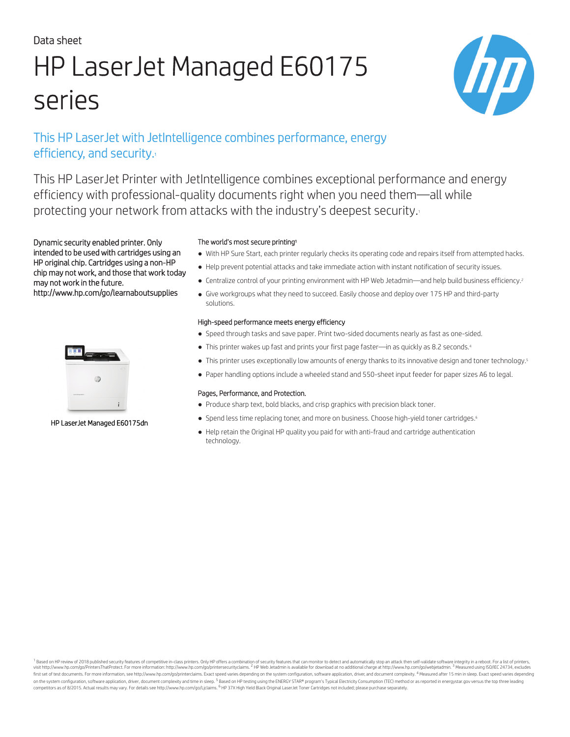# Data sheet HP LaserJet Managed E60175 series



# This HP LaserJet with JetIntelligence combines performance, energy efficiency, and security.

This HP LaserJet Printer with JetIntelligence combines exceptional performance and energy efficiency with professional-quality documents right when you need them—all while protecting your network from attacks with the industry's deepest security.

Dynamic security enabled printer. Only intended to be used with cartridges using an HP original chip. Cartridges using a non-HP chip may not work, and those that work today may not work in the future. http://www.hp.com/go/learnaboutsupplies



#### HP LaserJet Managed E60175dn

#### The world's most secure printing<sup>1</sup>

- With HP Sure Start, each printer regularly checks its operating code and repairs itself from attempted hacks.
- Help prevent potential attacks and take immediate action with instant notification of security issues.
- Centralize control of your printing environment with HP Web Jetadmin—and help build business efficiency.<sup>2</sup>
- Give workgroups what they need to succeed. Easily choose and deploy over 175 HP and third-party solutions.

#### High-speed performance meets energy efficiency

- Speed through tasks and save paper. Print two-sided documents nearly as fast as one-sided.
- This printer wakes up fast and prints your first page faster—in as quickly as 8.2 seconds.<sup>4</sup>
- This printer uses exceptionally low amounts of energy thanks to its innovative design and toner technology.<sup>5</sup>
- Paper handling options include a wheeled stand and 550-sheet input feeder for paper sizes A6 to legal.

#### Pages, Performance, and Protection.

- Produce sharp text, bold blacks, and crisp graphics with precision black toner.
- Spend less time replacing toner, and more on business. Choose high-yield toner cartridges.<sup>6</sup>
- Help retain the Original HP quality you paid for with anti-fraud and cartridge authentication technology.

Based on HP review of 2018 published security features of competitive in-class printers. Only HP offers a combination of security features that can monitor to detect and automatically stop an attack then self-validate soft visit http://www.hp.com/go/PrintersThatProtect. For more information: http://www.hp.com/go/printersecurityclaims. <sup>2</sup> HP Web Jetadmin is available for download at no additional charge at http://www.hp.com/go/webjetadmin.<sup>3</sup> first set of test documents. For more information, see http://www.hp.com/go/printerclaims. Exact speed varies depending on the system configuration, software application, driver, and document complexity. <sup>4</sup> Measured after on the system configuration, software application, driver, document complexity and time in sleep. <sup>5</sup> Based on HP testing using the ENERGY STAR® program's Typical Electricity Consumption (TEC) method or as reported in ener competitors as of 8/2015. Actual results may vary. For details see http://www.hp.com/go/Ljclaims. <sup>6</sup>HP 37X High Yield Black Original LaserJet Toner Cartridges not included; please purchase separately.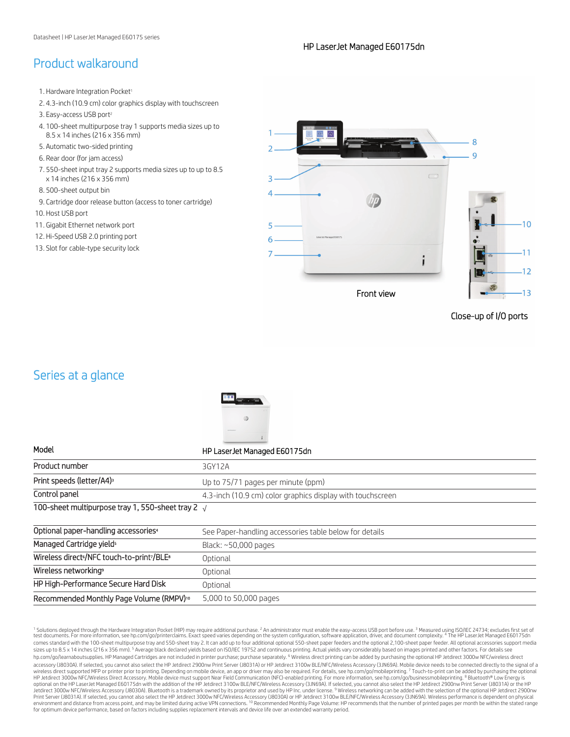# Product walkaround

- 1. Hardware Integration Pocket<sup>1</sup>
- 2. 4.3-inch (10.9 cm) color graphics display with touchscreen
- 3. Easy-access USB port<sup>2</sup>
- 4. 100-sheet multipurpose tray 1 supports media sizes up to 8.5 x 14 inches (216 x 356 mm)
- 5. Automatic two-sided printing
- 6. Rear door (for jam access)
- 7. 550-sheet input tray 2 supports media sizes up to up to 8.5 x 14 inches (216 x 356 mm)
- 8. 500-sheet output bin
- 9. Cartridge door release button (access to toner cartridge)
- 10. Host USB port
- 11. Gigabit Ethernet network port
- 12. Hi-Speed USB 2.0 printing port
- 13. Slot for cable-type security lock



Close-up of I/O ports

# Series at a glance



| HP LaserJet Managed E60175dn                               |
|------------------------------------------------------------|
| 3GY12A                                                     |
| Up to 75/71 pages per minute (ppm)                         |
| 4.3-inch (10.9 cm) color graphics display with touchscreen |
| 100-sheet multipurpose tray 1, 550-sheet tray 2 $\sqrt{ }$ |
| See Paper-handling accessories table below for details     |
| Black: $~50,000$ pages                                     |
| Optional                                                   |
| Optional                                                   |
| Optional                                                   |
| 5,000 to 50,000 pages                                      |
|                                                            |

<sup>1</sup> Solutions deployed through the Hardware Integration Pocket (HIP) may require additional purchase. <sup>2</sup> An administrator must enable the easy-access USB port before use. <sup>3</sup> Measured using ISO/IEC 24734; excludes first s comes standard with the 100-sheet multipurpose tray and 550-sheet tray 2. It can add up to four additional optional 550-sheet paper feeders and the optional 2,100-sheet paper feeder. All optional accessories support media sizes up to 8.5 x 14 inches (216 x 356 mm). <sup>5</sup> Average black declared yields based on ISO/IEC 19752 and continuous printing. Actual yields vary considerably based on images printed and other factors. For details see hp.com/go/learnaboutsupplies. HP Managed Cartridges are not included in printer purchase; purchase separately. <sup>6</sup> Wireless direct printing can be added by purchasing the optional HP Jetdirect 3000w NFC/wireless direct accessory (J8030A). If selected, you cannot also select the HP Jetdirect 2900nw Print Server (J8031A) or HP Jetdirect 3100w BLE/NFC/Wireless Accessory (3JN69A). Mobile device needs to be connected directly to the signal of wireless direct supported MFP or printer prior to printing. [Depending](http://hp.com/go/printerclaims) on mobile device, an app or driver may also be required. For details, see hp.com/go/mobileprinting. <sup>7</sup> Touch-to-print can be added by purchasing the op Print Server (J8031A). If selected, you cannot also select the HP Jetdirect 3000w NFC/Wireless Accessory (J8030A) or HP Jetdirect 3100w BL[E/NFC/Wireless](http://hp.com/go/mobileprinting) Accessory (3JN69A). Wireless performance is dependent on physical<br>env for optimum device performance, based on factors including supplies replacement intervals and device life over an extended warranty period.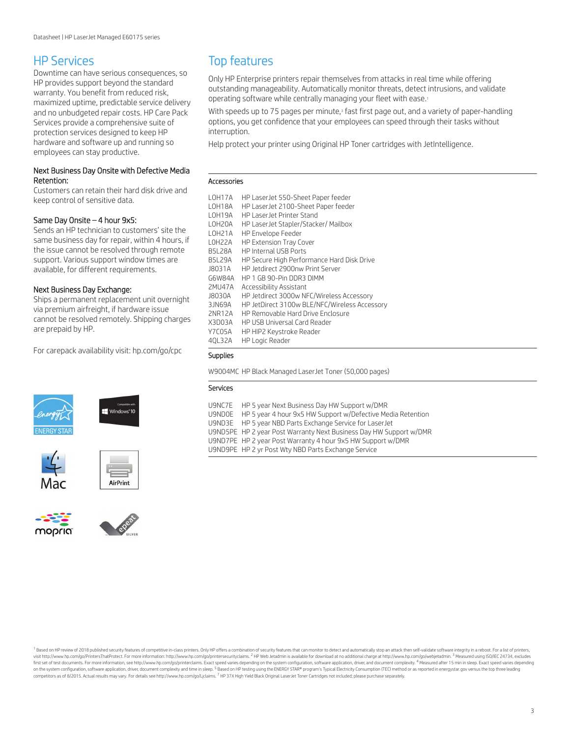### HP Services

Downtime can have serious consequences, so HP provides support beyond the standard warranty. You benefit from reduced risk, maximized uptime, predictable service delivery and no unbudgeted repair costs. HP Care Pack Services provide a comprehensive suite of protection services designed to keep HP hardware and software up and running so employees can stay productive.

#### Next Business Day Onsite with Defective Media Retention:

Customers can retain their hard disk drive and keep control of sensitive data.

#### Same Day Onsite – 4 hour 9x[5:](http://hp.com/go/cpc)

Sends an HP technician to customers' site the same business day for repair, within 4 hours, if the issue cannot be resolved through remote support. Various support window times are available, for different requirements.

#### Next Business Day Exchange:

Ships a permanent replacement unit overnight via premium airfreight, if hardware issue cannot be resolved remotely. Shipping charges are prepaid by HP.

For carepack availability visit: hp.com/go/cpc













# Top features

Only HP Enterprise printers repair themselves from attacks in real time while offering outstanding manageability. Automatically monitor threats, detect intrusions, and validate operating software while centrally managing your fleet with ease.<sup>1</sup>

With speeds up to 75 pages per minute,<sup>3</sup> fast first page out, and a variety of paper-handling options, you get confidence that your employees can speed through their tasks without interruption.

Help protect your printer using Original HP Toner cartridges with JetIntelligence.

#### Accessories

| <b>LOH17A</b>       | HP LaserJet 550-Sheet Paper feeder                                |
|---------------------|-------------------------------------------------------------------|
| LOH18A<br>LOH19A    | HP LaserJet 2100-Sheet Paper feeder<br>HP I aserJet Printer Stand |
|                     |                                                                   |
| LOH <sub>20</sub> A | HP Laser Jet Stapler/Stacker/ Mailbox                             |
| LOH <sub>21</sub> A | <b>HP Envelope Feeder</b>                                         |
| L0H22A              | <b>HP Extension Tray Cover</b>                                    |
| B5I 28A             | <b>HP Internal USB Ports</b>                                      |
| <b>B5L29A</b>       | HP Secure High Performance Hard Disk Drive                        |
| <b>J8031A</b>       | HP Jetdirect 2900nw Print Server                                  |
| G6W84A              | HP 1 GB 90-Pin DDR3 DIMM                                          |
| 2MU47A              | Accessibility Assistant                                           |
| J8030A              | HP Jetdirect 3000w NFC/Wireless Accessory                         |
| 3JN69A              | HP JetDirect 3100w BLE/NFC/Wireless Accessory                     |
| 2NR12A              | HP Removable Hard Drive Enclosure                                 |
| X3D03A              | HP USB Universal Card Reader                                      |
| Y7C05A              | HP HIP2 Keystroke Reader                                          |
| 40L32A              | <b>HP Logic Reader</b>                                            |

#### Supplies

W9004MC HP Black Managed LaserJet Toner (50,000 pages)

#### Services

| U9NC7E HP 5 year Next Business Day HW Support w/DMR                |
|--------------------------------------------------------------------|
| U9NDOE HP 5 year 4 hour 9x5 HW Support w/Defective Media Retention |
| U9ND3E HP 5 year NBD Parts Exchange Service for LaserJet           |
| U9ND5PE HP 2 year Post Warranty Next Business Day HW Support w/DMR |
| U9ND7PE HP 2 year Post Warranty 4 hour 9x5 HW Support w/DMR        |
| U9ND9PE HP 2 yr Post Wty NBD Parts Exchange Service                |

1 Based on HP review of 2018 published security features of competitive in-class printers. Only HP offers a combination of security features that can monitor to detect and automatically stop an attack then self-validate so visit http://www.hp.com/go/PintersThatProtect. For more information: http://www.hp.com/go/printersecurityclaims. <sup>2</sup> HP Web Jetadmin is available for download at no additional charge at http://www.hp.com/go/webjetadmin.<sup>3</sup> first set of test documents. For more information, see http://www.hp.com/go/printerclaims. Exact speed varies depending on the system configuration, software application, driver, and document complexity. <sup>4</sup> Measured after on the system configuration, software application, driver, document complexity and time in sleep. <sup>5</sup> Based on HP testing using the ENERGY STAR® program's Typical Electricity Consumption (TEC) method or as reported in ener